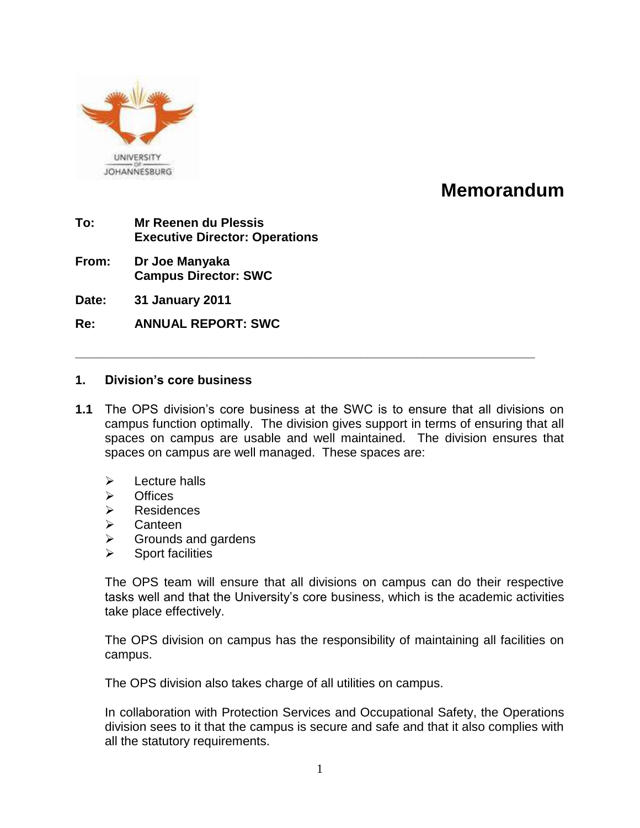

# **Memorandum**

- **To: Mr Reenen du Plessis Executive Director: Operations**
- **From: Dr Joe Manyaka Campus Director: SWC**
- **Date: 31 January 2011**
- **Re: ANNUAL REPORT: SWC**

#### **1. Division's core business**

**1.1** The OPS division"s core business at the SWC is to ensure that all divisions on campus function optimally. The division gives support in terms of ensuring that all spaces on campus are usable and well maintained. The division ensures that spaces on campus are well managed. These spaces are:

**\_\_\_\_\_\_\_\_\_\_\_\_\_\_\_\_\_\_\_\_\_\_\_\_\_\_\_\_\_\_\_\_\_\_\_\_\_\_\_\_\_\_\_\_\_\_\_\_\_\_\_\_\_\_\_\_\_\_\_\_\_\_\_\_\_\_**

- $\triangleright$  Lecture halls
- $\triangleright$  Offices
- Residences
- $\triangleright$  Canteen
- $\triangleright$  Grounds and gardens
- Sport facilities

The OPS team will ensure that all divisions on campus can do their respective tasks well and that the University"s core business, which is the academic activities take place effectively.

The OPS division on campus has the responsibility of maintaining all facilities on campus.

The OPS division also takes charge of all utilities on campus.

In collaboration with Protection Services and Occupational Safety, the Operations division sees to it that the campus is secure and safe and that it also complies with all the statutory requirements.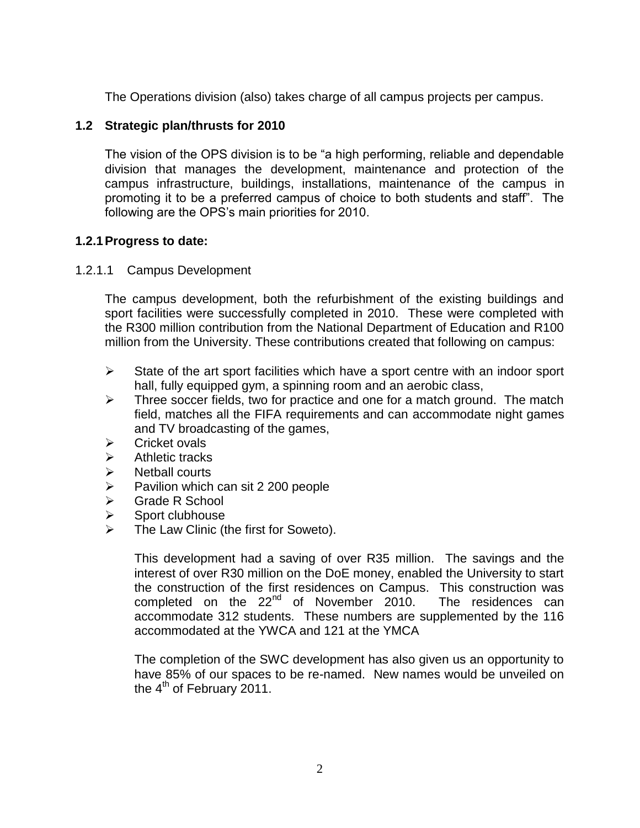The Operations division (also) takes charge of all campus projects per campus.

## **1.2 Strategic plan/thrusts for 2010**

The vision of the OPS division is to be "a high performing, reliable and dependable division that manages the development, maintenance and protection of the campus infrastructure, buildings, installations, maintenance of the campus in promoting it to be a preferred campus of choice to both students and staff". The following are the OPS's main priorities for 2010.

## **1.2.1Progress to date:**

#### 1.2.1.1 Campus Development

The campus development, both the refurbishment of the existing buildings and sport facilities were successfully completed in 2010. These were completed with the R300 million contribution from the National Department of Education and R100 million from the University. These contributions created that following on campus:

- $\triangleright$  State of the art sport facilities which have a sport centre with an indoor sport hall, fully equipped gym, a spinning room and an aerobic class,
- $\triangleright$  Three soccer fields, two for practice and one for a match ground. The match field, matches all the FIFA requirements and can accommodate night games and TV broadcasting of the games,
- $\triangleright$  Cricket ovals
- $\triangleright$  Athletic tracks
- $\triangleright$  Netball courts
- $\triangleright$  Pavilion which can sit 2 200 people
- Grade R School
- $\triangleright$  Sport clubhouse
- The Law Clinic (the first for Soweto).

This development had a saving of over R35 million. The savings and the interest of over R30 million on the DoE money, enabled the University to start the construction of the first residences on Campus. This construction was completed on the  $22<sup>nd</sup>$  of November 2010. The residences can accommodate 312 students. These numbers are supplemented by the 116 accommodated at the YWCA and 121 at the YMCA

The completion of the SWC development has also given us an opportunity to have 85% of our spaces to be re-named. New names would be unveiled on the  $4<sup>th</sup>$  of February 2011.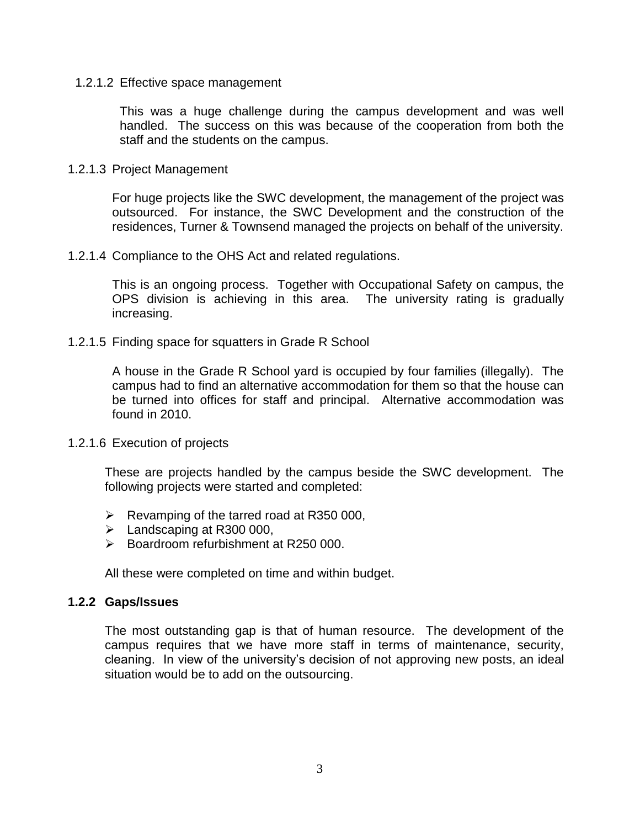#### 1.2.1.2 Effective space management

This was a huge challenge during the campus development and was well handled. The success on this was because of the cooperation from both the staff and the students on the campus.

#### 1.2.1.3 Project Management

For huge projects like the SWC development, the management of the project was outsourced. For instance, the SWC Development and the construction of the residences, Turner & Townsend managed the projects on behalf of the university.

#### 1.2.1.4 Compliance to the OHS Act and related regulations.

This is an ongoing process. Together with Occupational Safety on campus, the OPS division is achieving in this area. The university rating is gradually increasing.

#### 1.2.1.5 Finding space for squatters in Grade R School

A house in the Grade R School yard is occupied by four families (illegally). The campus had to find an alternative accommodation for them so that the house can be turned into offices for staff and principal. Alternative accommodation was found in 2010.

#### 1.2.1.6 Execution of projects

These are projects handled by the campus beside the SWC development. The following projects were started and completed:

- $\triangleright$  Revamping of the tarred road at R350 000,
- $\blacktriangleright$  Landscaping at R300 000,
- $\triangleright$  Boardroom refurbishment at R250 000.

All these were completed on time and within budget.

#### **1.2.2 Gaps/Issues**

The most outstanding gap is that of human resource. The development of the campus requires that we have more staff in terms of maintenance, security, cleaning. In view of the university"s decision of not approving new posts, an ideal situation would be to add on the outsourcing.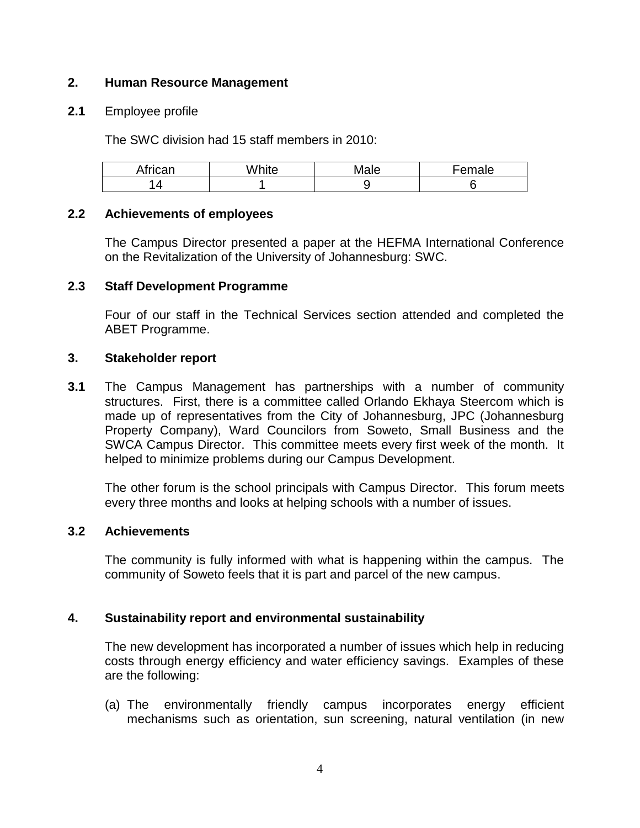## **2. Human Resource Management**

## **2.1** Employee profile

The SWC division had 15 staff members in 2010:

| African | ∆Mhit∆<br>шe<br>v | Male | -emale<br>-еш. |
|---------|-------------------|------|----------------|
|         |                   | ~    |                |

## **2.2 Achievements of employees**

The Campus Director presented a paper at the HEFMA International Conference on the Revitalization of the University of Johannesburg: SWC.

# **2.3 Staff Development Programme**

Four of our staff in the Technical Services section attended and completed the ABET Programme.

# **3. Stakeholder report**

**3.1** The Campus Management has partnerships with a number of community structures. First, there is a committee called Orlando Ekhaya Steercom which is made up of representatives from the City of Johannesburg, JPC (Johannesburg Property Company), Ward Councilors from Soweto, Small Business and the SWCA Campus Director. This committee meets every first week of the month. It helped to minimize problems during our Campus Development.

The other forum is the school principals with Campus Director. This forum meets every three months and looks at helping schools with a number of issues.

## **3.2 Achievements**

The community is fully informed with what is happening within the campus. The community of Soweto feels that it is part and parcel of the new campus.

# **4. Sustainability report and environmental sustainability**

The new development has incorporated a number of issues which help in reducing costs through energy efficiency and water efficiency savings. Examples of these are the following:

(a) The environmentally friendly campus incorporates energy efficient mechanisms such as orientation, sun screening, natural ventilation (in new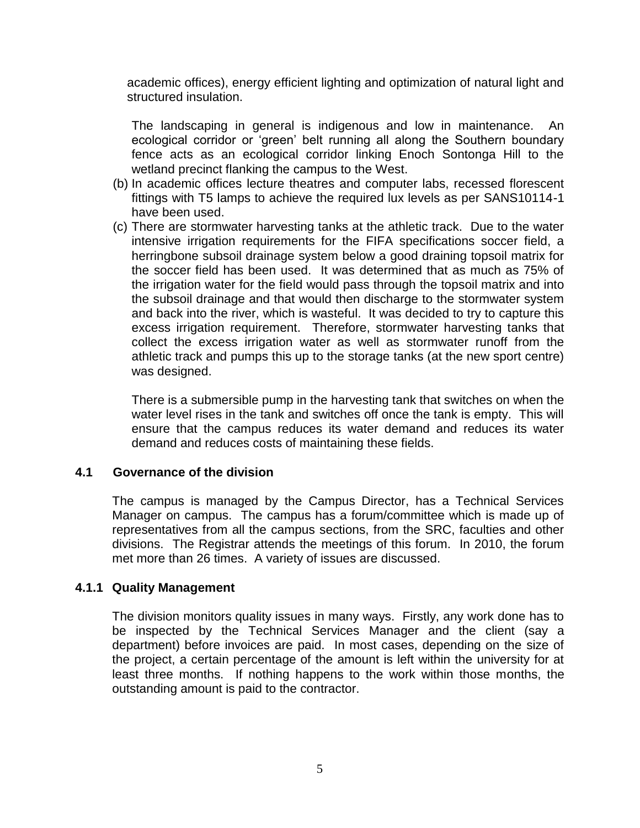academic offices), energy efficient lighting and optimization of natural light and structured insulation.

The landscaping in general is indigenous and low in maintenance. An ecological corridor or "green" belt running all along the Southern boundary fence acts as an ecological corridor linking Enoch Sontonga Hill to the wetland precinct flanking the campus to the West.

- (b) In academic offices lecture theatres and computer labs, recessed florescent fittings with T5 lamps to achieve the required lux levels as per SANS10114-1 have been used.
- (c) There are stormwater harvesting tanks at the athletic track. Due to the water intensive irrigation requirements for the FIFA specifications soccer field, a herringbone subsoil drainage system below a good draining topsoil matrix for the soccer field has been used. It was determined that as much as 75% of the irrigation water for the field would pass through the topsoil matrix and into the subsoil drainage and that would then discharge to the stormwater system and back into the river, which is wasteful. It was decided to try to capture this excess irrigation requirement. Therefore, stormwater harvesting tanks that collect the excess irrigation water as well as stormwater runoff from the athletic track and pumps this up to the storage tanks (at the new sport centre) was designed.

There is a submersible pump in the harvesting tank that switches on when the water level rises in the tank and switches off once the tank is empty. This will ensure that the campus reduces its water demand and reduces its water demand and reduces costs of maintaining these fields.

## **4.1 Governance of the division**

The campus is managed by the Campus Director, has a Technical Services Manager on campus. The campus has a forum/committee which is made up of representatives from all the campus sections, from the SRC, faculties and other divisions. The Registrar attends the meetings of this forum. In 2010, the forum met more than 26 times. A variety of issues are discussed.

## **4.1.1 Quality Management**

The division monitors quality issues in many ways. Firstly, any work done has to be inspected by the Technical Services Manager and the client (say a department) before invoices are paid. In most cases, depending on the size of the project, a certain percentage of the amount is left within the university for at least three months. If nothing happens to the work within those months, the outstanding amount is paid to the contractor.